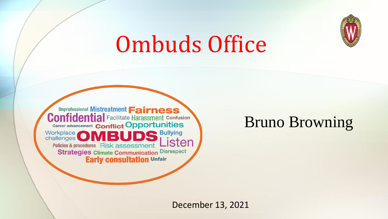

# Ombuds Office



#### Bruno Browning

December 13, 2021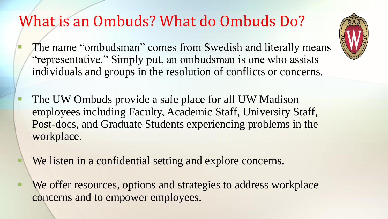#### What is an Ombuds? What do Ombuds Do?

- The name "ombudsman" comes from Swedish and literally means "representative." Simply put, an ombudsman is one who assists individuals and groups in the resolution of conflicts or concerns.
- The UW Ombuds provide a safe place for all UW Madison employees including Faculty, Academic Staff, University Staff, Post-docs, and Graduate Students experiencing problems in the workplace.
- We listen in a confidential setting and explore concerns.
- We offer resources, options and strategies to address workplace concerns and to empower employees.

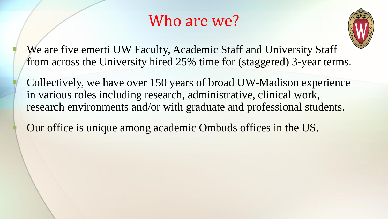#### Who are we?



We are five emerti UW Faculty, Academic Staff and University Staff from across the University hired 25% time for (staggered) 3-year terms.

Collectively, we have over 150 years of broad UW-Madison experience in various roles including research, administrative, clinical work, research environments and/or with graduate and professional students.

Our office is unique among academic Ombuds offices in the US.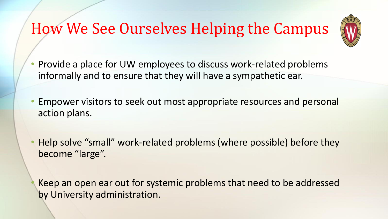## How We See Ourselves Helping the Campus



- Provide a place for UW employees to discuss work-related problems informally and to ensure that they will have a sympathetic ear.
- Empower visitors to seek out most appropriate resources and personal action plans.
- Help solve "small" work-related problems (where possible) before they become "large".

Keep an open ear out for systemic problems that need to be addressed by University administration.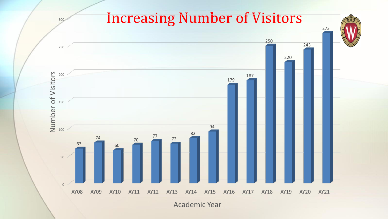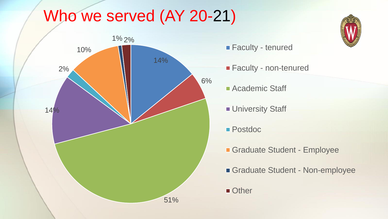## Who we served (AY 20-21)



**Faculty - tenured** 

- **Faculty non-tenured**
- **Academic Staff**
- **University Staff**
- Postdoc
- Graduate Student Employee
- Graduate Student Non-employee

**Other** 

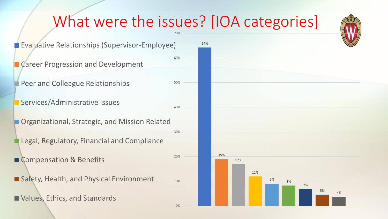